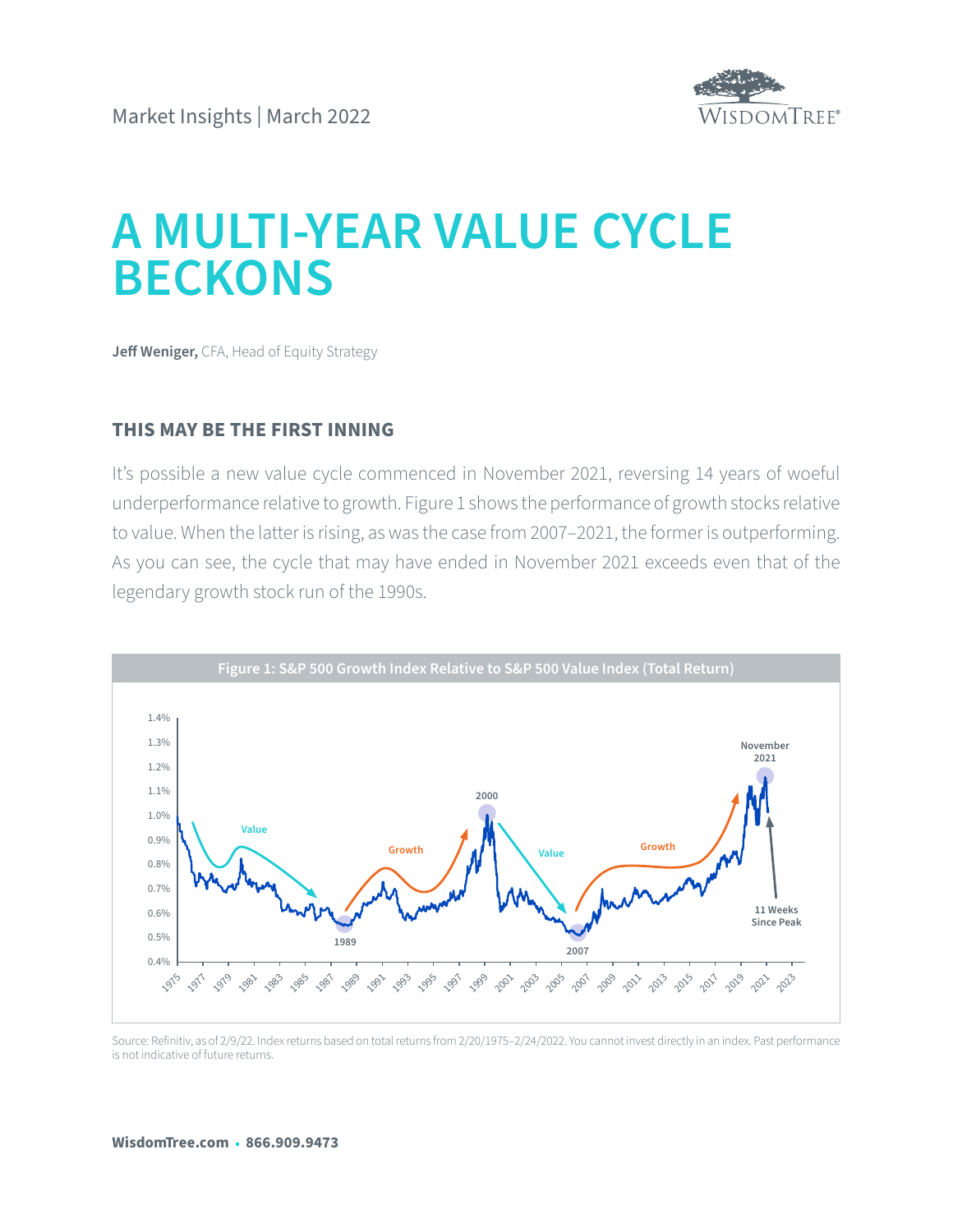

# **A MULTI-YEAR VALUE CYCLE BECKONS**

**Jeff Weniger,** CFA, Head of Equity Strategy

## **THIS MAY BE THE FIRST INNING**

It's possible a new value cycle commenced in November 2021, reversing 14 years of woeful underperformance relative to growth. Figure 1 shows the performance of growth stocks relative to value. When the latter is rising, as was the case from 2007–2021, the former is outperforming. As you can see, the cycle that may have ended in November 2021 exceeds even that of the legendary growth stock run of the 1990s.



Source: Refinitiv, as of 2/9/22. Index returns based on total returns from 2/20/1975–2/24/2022. You cannot invest directly in an index. Past performance is not indicative of future returns.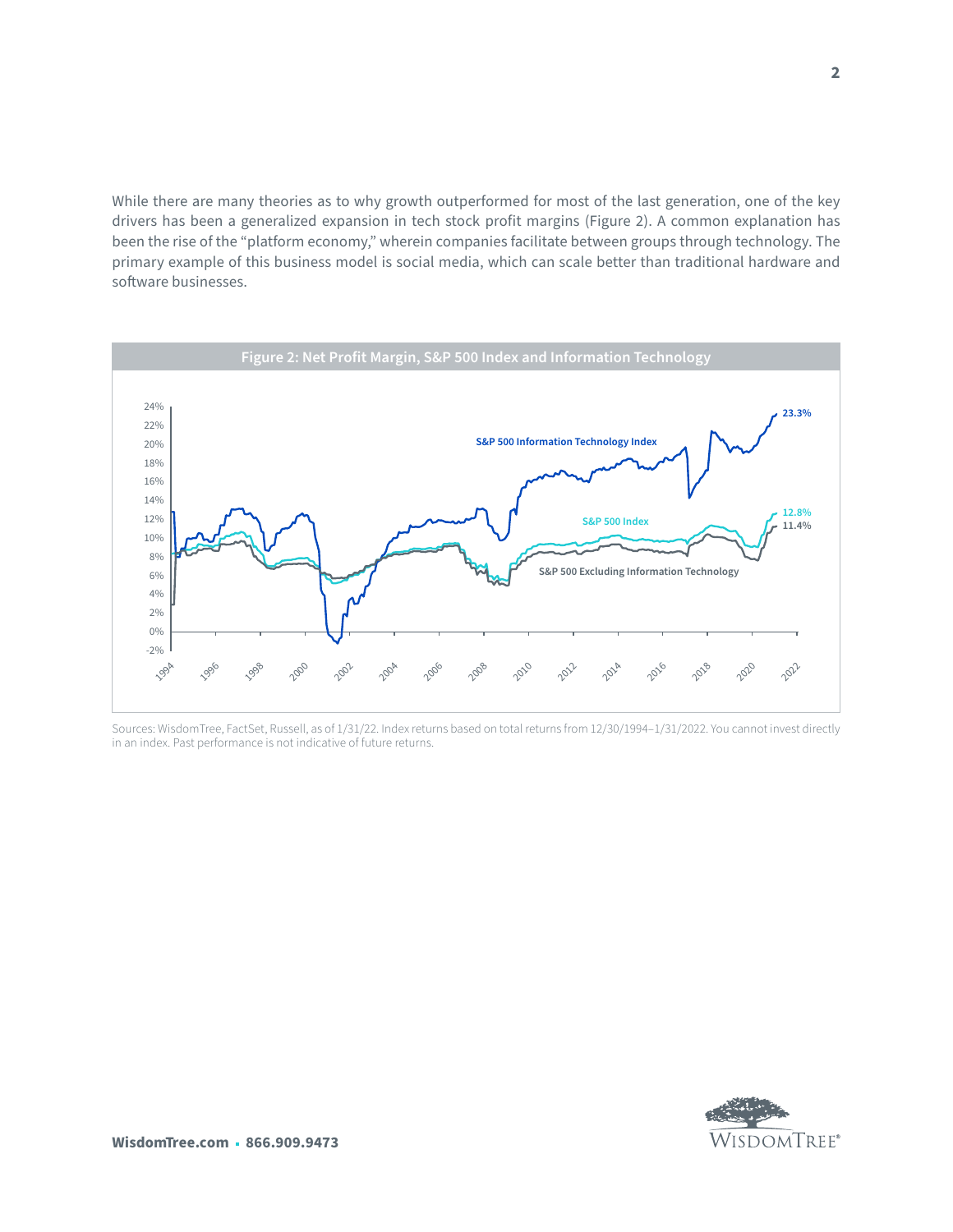While there are many theories as to why growth outperformed for most of the last generation, one of the key drivers has been a generalized expansion in tech stock profit margins (Figure 2). A common explanation has been the rise of the "platform economy," wherein companies facilitate between groups through technology. The primary example of this business model is social media, which can scale better than traditional hardware and software businesses.



Sources: WisdomTree, FactSet, Russell, as of 1/31/22. Index returns based on total returns from 12/30/1994–1/31/2022. You cannot invest directly in an index. Past performance is not indicative of future returns.

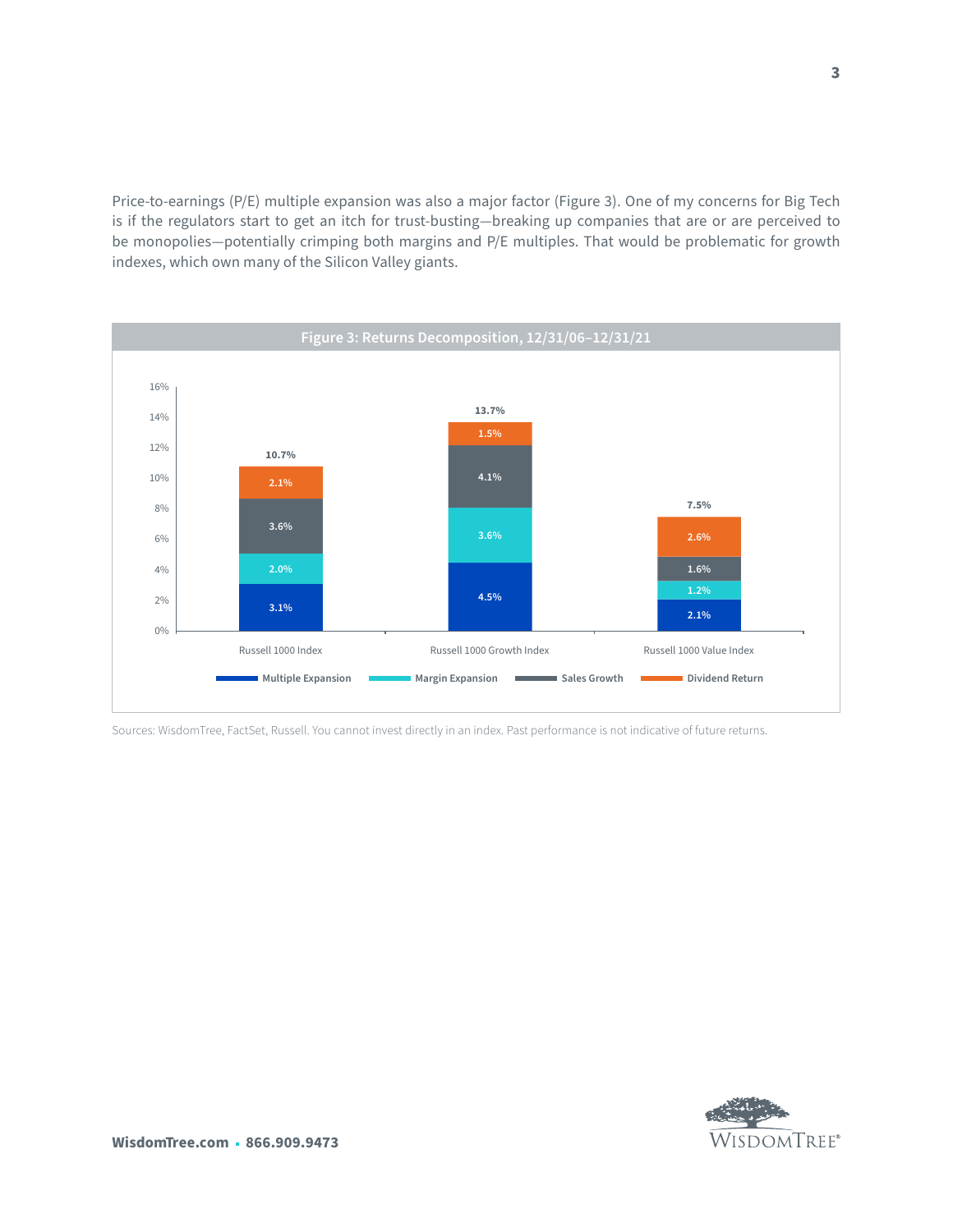Price-to-earnings (P/E) multiple expansion was also a major factor (Figure 3). One of my concerns for Big Tech is if the regulators start to get an itch for trust-busting—breaking up companies that are or are perceived to be monopolies—potentially crimping both margins and P/E multiples. That would be problematic for growth indexes, which own many of the Silicon Valley giants.



Sources: WisdomTree, FactSet, Russell. You cannot invest directly in an index. Past performance is not indicative of future returns.

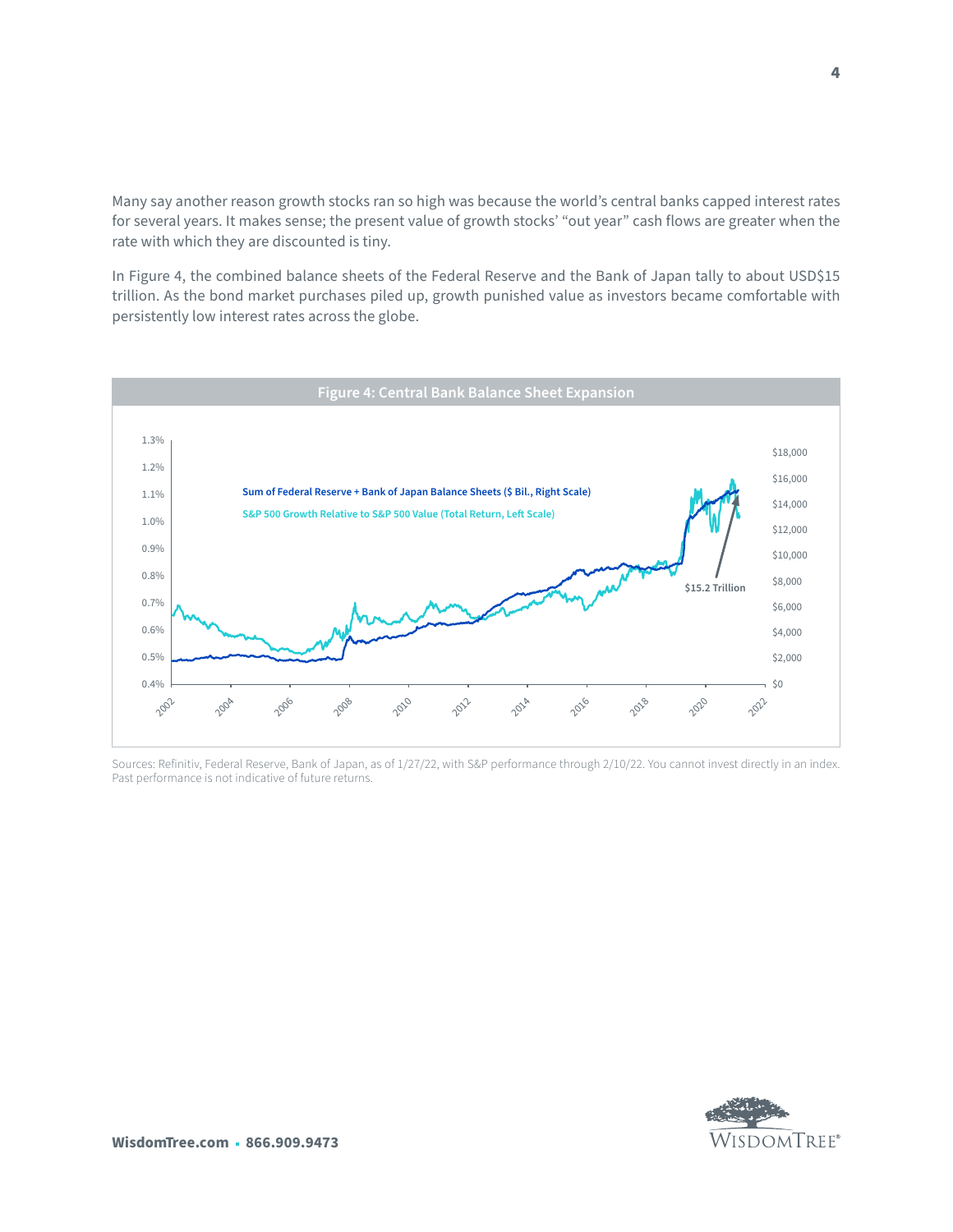Many say another reason growth stocks ran so high was because the world's central banks capped interest rates for several years. It makes sense; the present value of growth stocks' "out year" cash flows are greater when the rate with which they are discounted is tiny.

In Figure 4, the combined balance sheets of the Federal Reserve and the Bank of Japan tally to about USD\$15 trillion. As the bond market purchases piled up, growth punished value as investors became comfortable with persistently low interest rates across the globe.



Sources: Refinitiv, Federal Reserve, Bank of Japan, as of 1/27/22, with S&P performance through 2/10/22. You cannot invest directly in an index. Past performance is not indicative of future returns.



**4**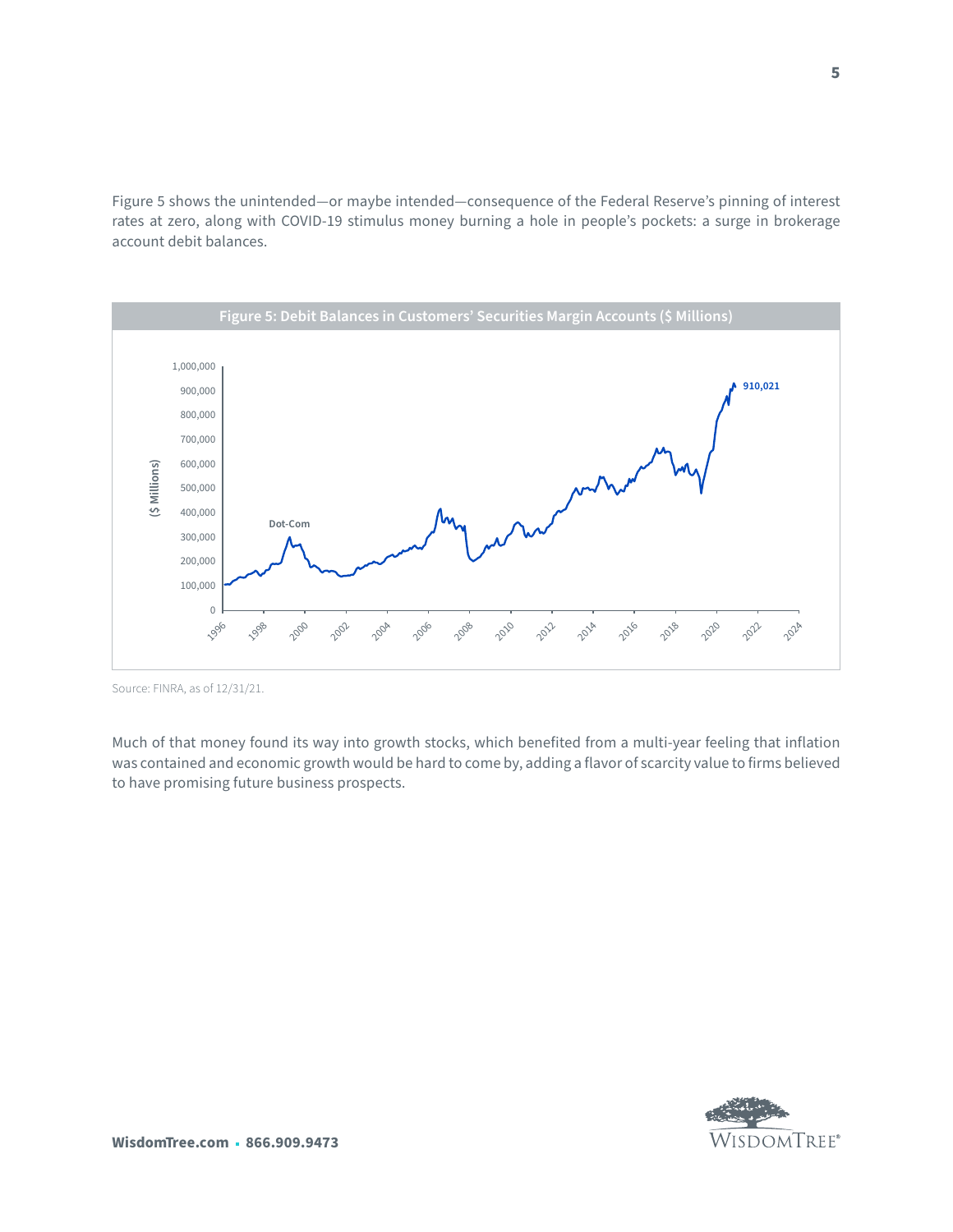Figure 5 shows the unintended—or maybe intended—consequence of the Federal Reserve's pinning of interest rates at zero, along with COVID-19 stimulus money burning a hole in people's pockets: a surge in brokerage account debit balances.



Source: FINRA, as of 12/31/21.

Much of that money found its way into growth stocks, which benefited from a multi-year feeling that inflation was contained and economic growth would be hard to come by, adding a flavor of scarcity value to firms believed to have promising future business prospects.

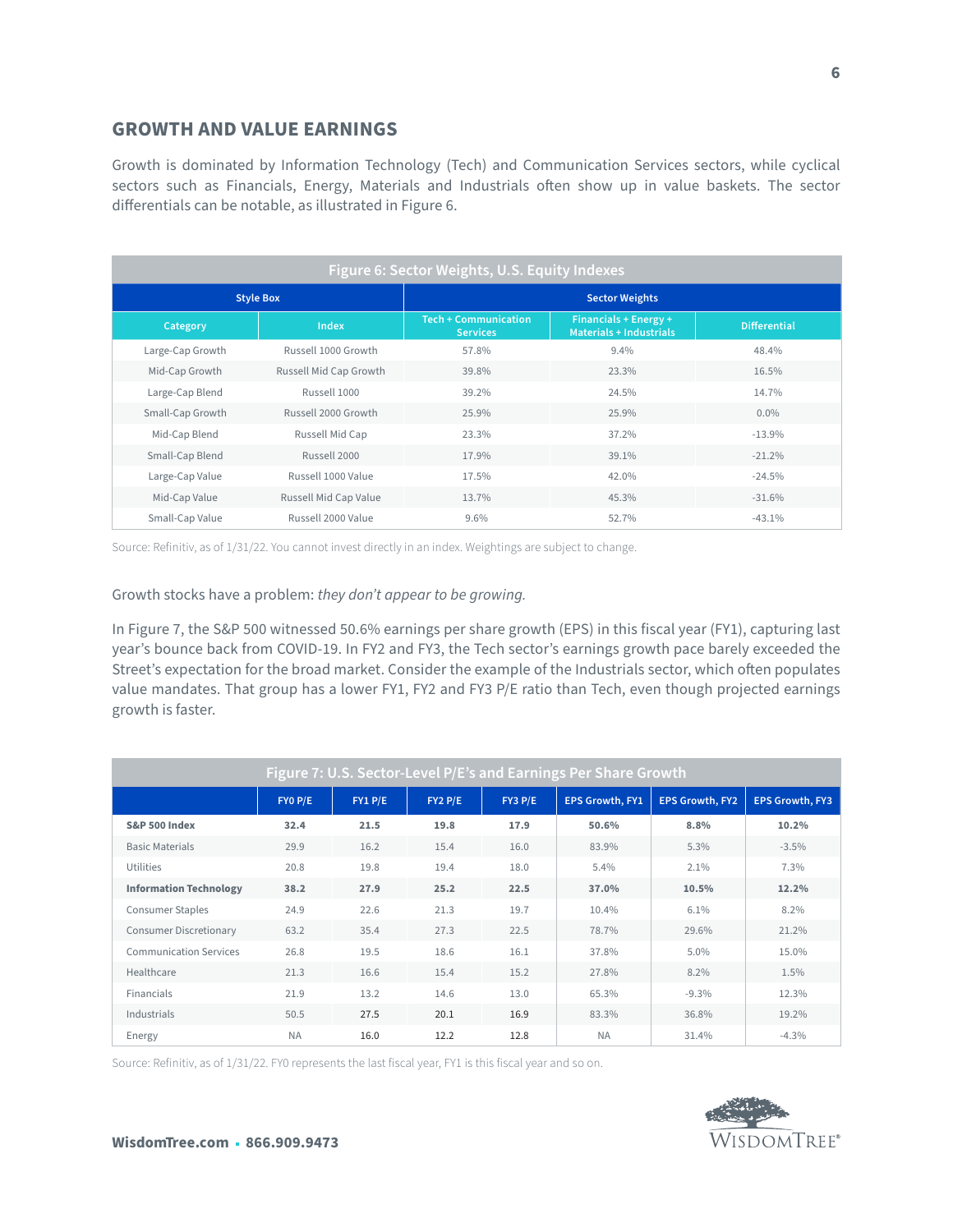### **GROWTH AND VALUE EARNINGS**

Growth is dominated by Information Technology (Tech) and Communication Services sectors, while cyclical sectors such as Financials, Energy, Materials and Industrials often show up in value baskets. The sector differentials can be notable, as illustrated in Figure 6.

| Figure 6: Sector Weights, U.S. Equity Indexes |                        |                                                |                                                         |                     |  |  |  |  |  |
|-----------------------------------------------|------------------------|------------------------------------------------|---------------------------------------------------------|---------------------|--|--|--|--|--|
| <b>Style Box</b>                              |                        | <b>Sector Weights</b>                          |                                                         |                     |  |  |  |  |  |
| Category                                      | Index                  | <b>Tech + Communication</b><br><b>Services</b> | Financials + Energy +<br><b>Materials + Industrials</b> | <b>Differential</b> |  |  |  |  |  |
| Large-Cap Growth                              | Russell 1000 Growth    | 57.8%                                          | 9.4%                                                    | 48.4%               |  |  |  |  |  |
| Mid-Cap Growth                                | Russell Mid Cap Growth | 39.8%                                          | 23.3%                                                   | 16.5%               |  |  |  |  |  |
| Large-Cap Blend                               | Russell 1000           | 39.2%                                          | 24.5%                                                   | 14.7%               |  |  |  |  |  |
| Small-Cap Growth                              | Russell 2000 Growth    | 25.9%                                          | 25.9%                                                   | $0.0\%$             |  |  |  |  |  |
| Mid-Cap Blend                                 | Russell Mid Cap        | 23.3%                                          | 37.2%                                                   | $-13.9%$            |  |  |  |  |  |
| Small-Cap Blend                               | Russell 2000           | 17.9%                                          | 39.1%                                                   | $-21.2%$            |  |  |  |  |  |
| Large-Cap Value                               | Russell 1000 Value     | 17.5%                                          | 42.0%                                                   | $-24.5%$            |  |  |  |  |  |
| Mid-Cap Value                                 | Russell Mid Cap Value  | 13.7%                                          | 45.3%                                                   | $-31.6%$            |  |  |  |  |  |
| Small-Cap Value                               | Russell 2000 Value     | $9.6\%$                                        | 52.7%                                                   | $-43.1%$            |  |  |  |  |  |

Source: Refinitiv, as of 1/31/22. You cannot invest directly in an index. Weightings are subject to change.

Growth stocks have a problem: *they don't appear to be growing.*

In Figure 7, the S&P 500 witnessed 50.6% earnings per share growth (EPS) in this fiscal year (FY1), capturing last year's bounce back from COVID-19. In FY2 and FY3, the Tech sector's earnings growth pace barely exceeded the Street's expectation for the broad market. Consider the example of the Industrials sector, which often populates value mandates. That group has a lower FY1, FY2 and FY3 P/E ratio than Tech, even though projected earnings growth is faster.

| Figure 7: U.S. Sector-Level P/E's and Earnings Per Share Growth |           |         |             |             |                        |                        |                        |  |  |
|-----------------------------------------------------------------|-----------|---------|-------------|-------------|------------------------|------------------------|------------------------|--|--|
|                                                                 | FYO P/E   | FY1 P/E | $FY2$ $P/E$ | $FY3$ $P/E$ | <b>EPS Growth, FY1</b> | <b>EPS Growth, FY2</b> | <b>EPS Growth, FY3</b> |  |  |
| <b>S&amp;P 500 Index</b>                                        | 32.4      | 21.5    | 19.8        | 17.9        | 50.6%                  | 8.8%                   | 10.2%                  |  |  |
| <b>Basic Materials</b>                                          | 29.9      | 16.2    | 15.4        | 16.0        | 83.9%                  | 5.3%                   | $-3.5%$                |  |  |
| Utilities                                                       | 20.8      | 19.8    | 19.4        | 18.0        | 5.4%                   | 2.1%                   | 7.3%                   |  |  |
| <b>Information Technology</b>                                   | 38.2      | 27.9    | 25.2        | 22.5        | 37.0%                  | 10.5%                  | 12.2%                  |  |  |
| <b>Consumer Staples</b>                                         | 24.9      | 22.6    | 21.3        | 19.7        | 10.4%                  | 6.1%                   | 8.2%                   |  |  |
| <b>Consumer Discretionary</b>                                   | 63.2      | 35.4    | 27.3        | 22.5        | 78.7%                  | 29.6%                  | 21.2%                  |  |  |
| <b>Communication Services</b>                                   | 26.8      | 19.5    | 18.6        | 16.1        | 37.8%                  | 5.0%                   | 15.0%                  |  |  |
| Healthcare                                                      | 21.3      | 16.6    | 15.4        | 15.2        | 27.8%                  | 8.2%                   | 1.5%                   |  |  |
| Financials                                                      | 21.9      | 13.2    | 14.6        | 13.0        | 65.3%                  | $-9.3%$                | 12.3%                  |  |  |
| Industrials                                                     | 50.5      | 27.5    | 20.1        | 16.9        | 83.3%                  | 36.8%                  | 19.2%                  |  |  |
| Energy                                                          | <b>NA</b> | 16.0    | 12.2        | 12.8        | <b>NA</b>              | 31.4%                  | $-4.3%$                |  |  |

Source: Refinitiv, as of 1/31/22. FY0 represents the last fiscal year, FY1 is this fiscal year and so on.

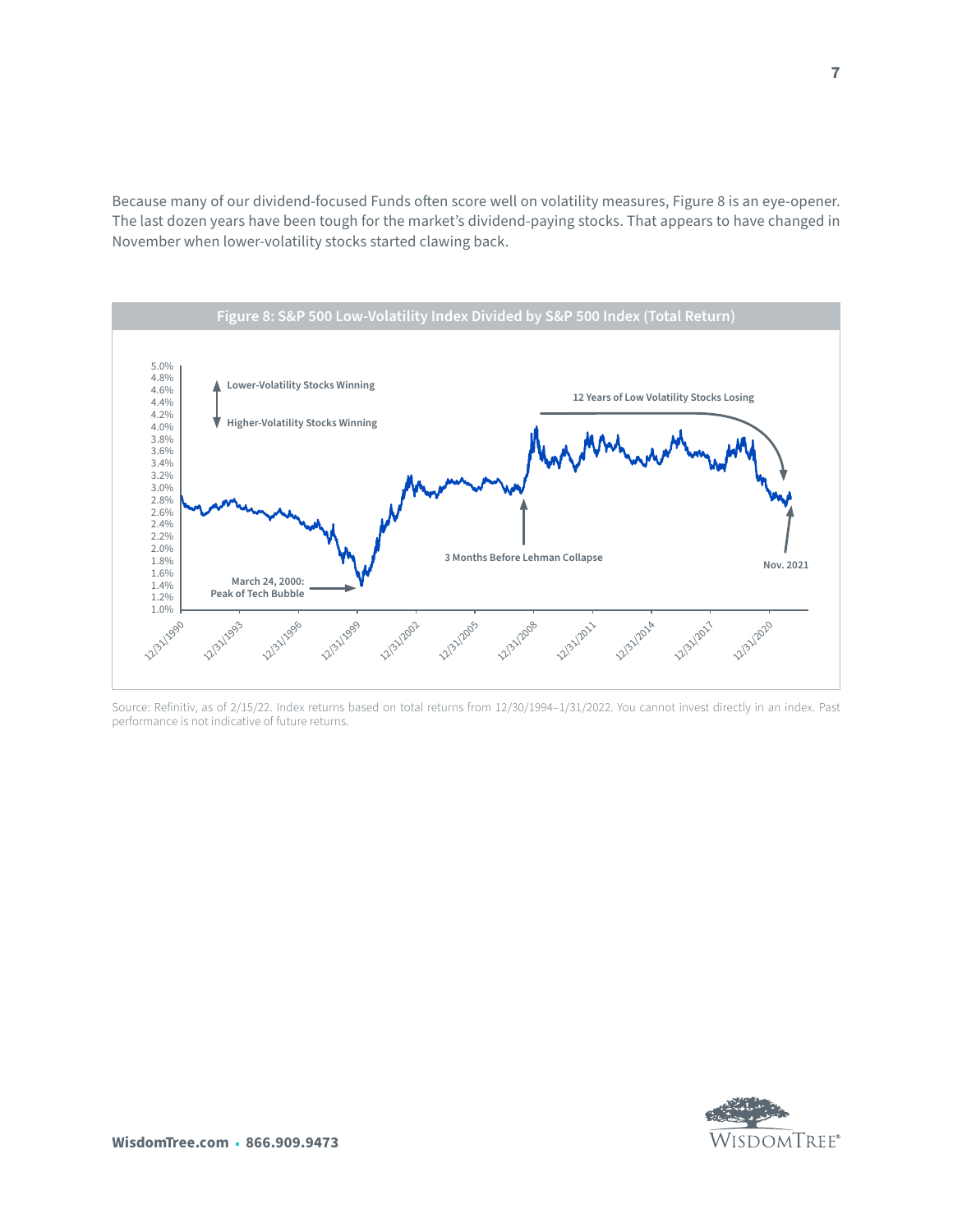Because many of our dividend-focused Funds often score well on volatility measures, Figure 8 is an eye-opener. The last dozen years have been tough for the market's dividend-paying stocks. That appears to have changed in November when lower-volatility stocks started clawing back.



Source: Refinitiv, as of 2/15/22. Index returns based on total returns from 12/30/1994–1/31/2022. You cannot invest directly in an index. Past performance is not indicative of future returns.

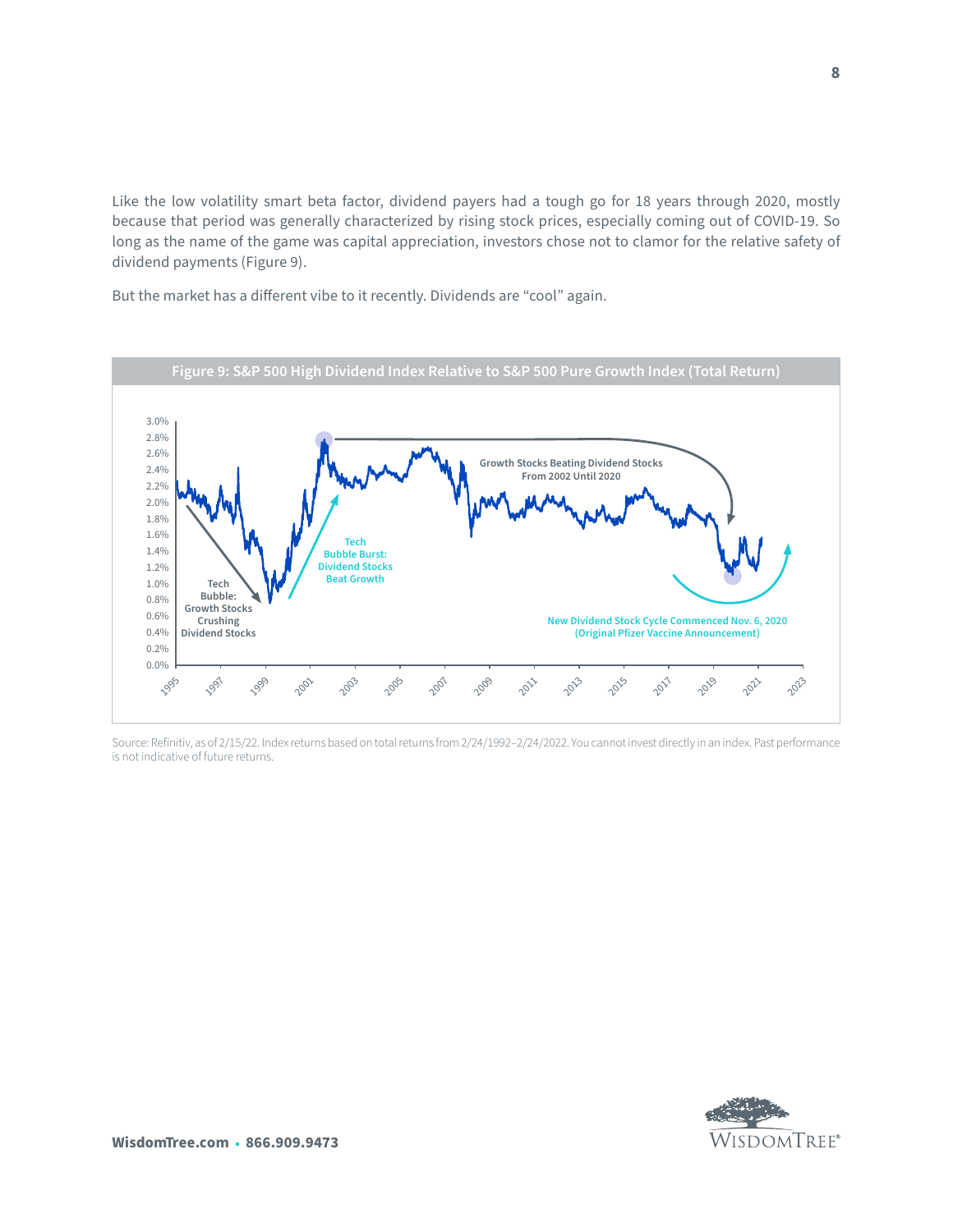Like the low volatility smart beta factor, dividend payers had a tough go for 18 years through 2020, mostly because that period was generally characterized by rising stock prices, especially coming out of COVID-19. So long as the name of the game was capital appreciation, investors chose not to clamor for the relative safety of dividend payments (Figure 9).

But the market has a different vibe to it recently. Dividends are "cool" again.



Source: Refinitiv, as of 2/15/22. Index returns based on total returns from 2/24/1992–2/24/2022. You cannot invest directly in an index. Past performance is not indicative of future returns.

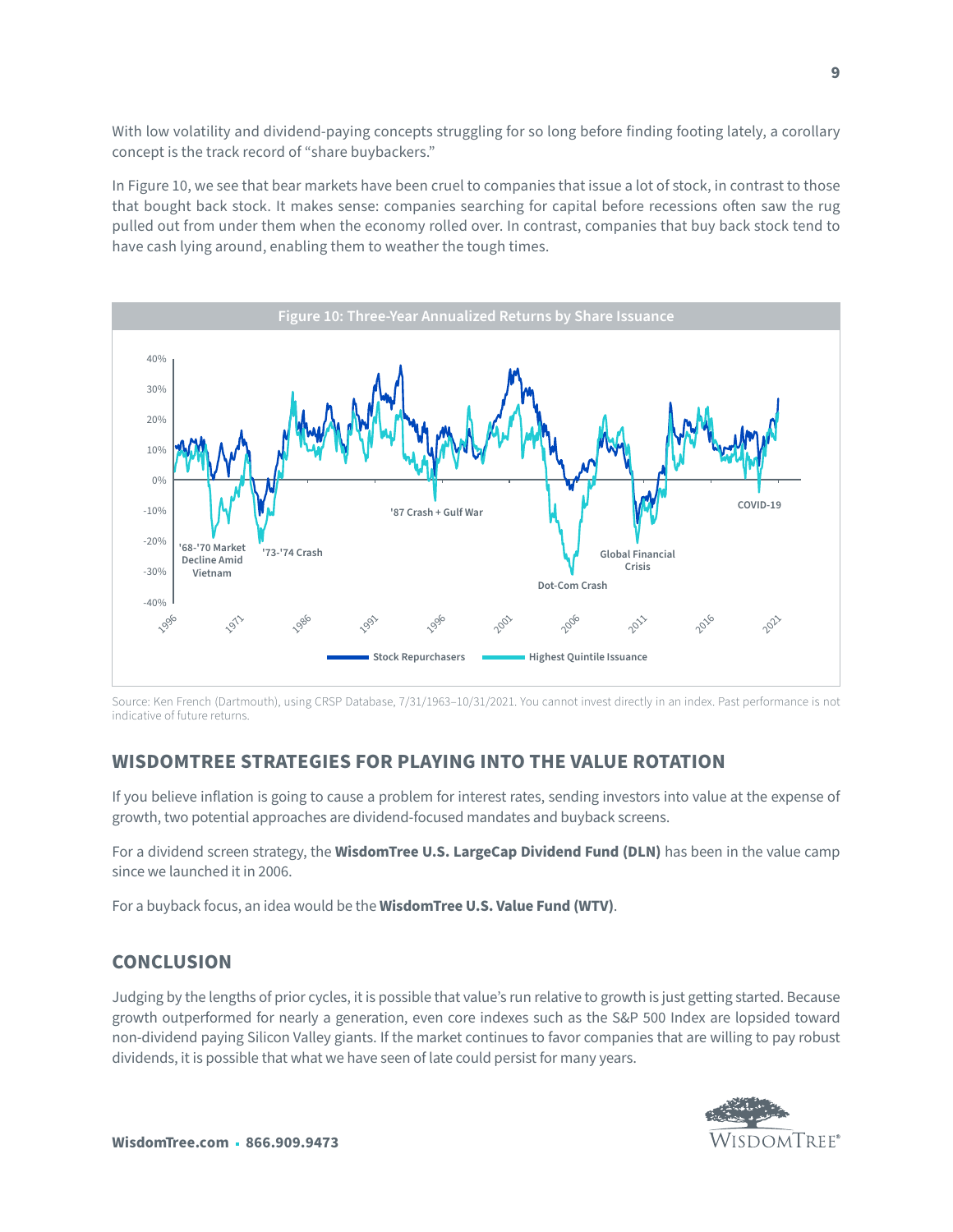With low volatility and dividend-paying concepts struggling for so long before finding footing lately, a corollary concept is the track record of "share buybackers."

In Figure 10, we see that bear markets have been cruel to companies that issue a lot of stock, in contrast to those that bought back stock. It makes sense: companies searching for capital before recessions often saw the rug pulled out from under them when the economy rolled over. In contrast, companies that buy back stock tend to have cash lying around, enabling them to weather the tough times.



Source: Ken French (Dartmouth), using CRSP Database, 7/31/1963–10/31/2021. You cannot invest directly in an index. Past performance is not indicative of future returns.

## **WISDOMTREE STRATEGIES FOR PLAYING INTO THE VALUE ROTATION**

If you believe inflation is going to cause a problem for interest rates, sending investors into value at the expense of growth, two potential approaches are dividend-focused mandates and buyback screens.

For a dividend screen strategy, the **WisdomTree U.S. LargeCap Dividend Fund (DLN)** has been in the value camp since we launched it in 2006.

For a buyback focus, an idea would be the **WisdomTree U.S. Value Fund (WTV)**.

## **CONCLUSION**

Judging by the lengths of prior cycles, it is possible that value's run relative to growth is just getting started. Because growth outperformed for nearly a generation, even core indexes such as the S&P 500 Index are lopsided toward non-dividend paying Silicon Valley giants. If the market continues to favor companies that are willing to pay robust dividends, it is possible that what we have seen of late could persist for many years.

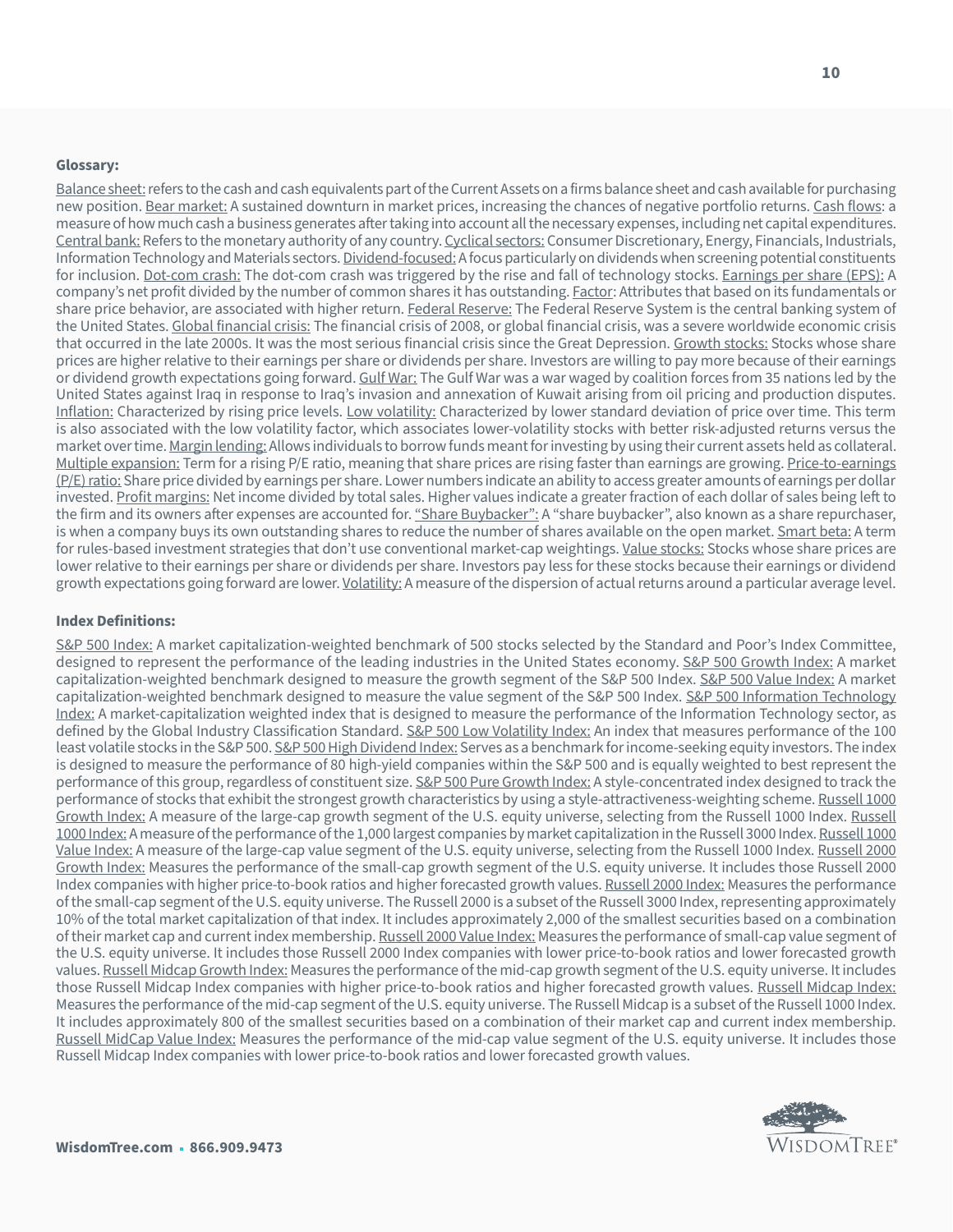#### **Glossary:**

Balance sheet: refers to the cash and cash equivalents part of the Current Assets on a firms balance sheet and cash available for purchasing new position. Bear market: A sustained downturn in market prices, increasing the chances of negative portfolio returns. Cash flows: a measure of how much cash a business generates after taking into account all the necessary expenses, including net capital expenditures. Central bank: Refers to the monetary authority of any country. Cyclical sectors: Consumer Discretionary, Energy, Financials, Industrials, Information Technology and Materials sectors. Dividend-focused: A focus particularly on dividends when screening potential constituents for inclusion. Dot-com crash: The dot-com crash was triggered by the rise and fall of technology stocks. Earnings per share (EPS): A company's net profit divided by the number of common shares it has outstanding. Factor: Attributes that based on its fundamentals or share price behavior, are associated with higher return. Federal Reserve: The Federal Reserve System is the central banking system of the United States. Global financial crisis: The financial crisis of 2008, or global financial crisis, was a severe worldwide economic crisis that occurred in the late 2000s. It was the most serious financial crisis since the Great Depression. Growth stocks: Stocks whose share prices are higher relative to their earnings per share or dividends per share. Investors are willing to pay more because of their earnings or dividend growth expectations going forward. Gulf War: The Gulf War was a war waged by coalition forces from 35 nations led by the United States against Iraq in response to Iraq's invasion and annexation of Kuwait arising from oil pricing and production disputes. Inflation: Characterized by rising price levels. Low volatility: Characterized by lower standard deviation of price over time. This term is also associated with the low volatility factor, which associates lower-volatility stocks with better risk-adjusted returns versus the market over time. Margin lending: Allows individuals to borrow funds meant for investing by using their current assets held as collateral. Multiple expansion: Term for a rising P/E ratio, meaning that share prices are rising faster than earnings are growing. Price-to-earnings (P/E) ratio: Share price divided by earnings per share. Lower numbers indicate an ability to access greater amounts of earnings per dollar invested. Profit margins: Net income divided by total sales. Higher values indicate a greater fraction of each dollar of sales being left to the firm and its owners after expenses are accounted for. "Share Buybacker": A "share buybacker", also known as a share repurchaser, is when a company buys its own outstanding shares to reduce the number of shares available on the open market. Smart beta: A term for rules-based investment strategies that don't use conventional market-cap weightings. Value stocks: Stocks whose share prices are lower relative to their earnings per share or dividends per share. Investors pay less for these stocks because their earnings or dividend growth expectations going forward are lower. Volatility: A measure of the dispersion of actual returns around a particular average level.

#### **Index Definitions:**

S&P 500 Index: A market capitalization-weighted benchmark of 500 stocks selected by the Standard and Poor's Index Committee, designed to represent the performance of the leading industries in the United States economy. S&P 500 Growth Index: A market capitalization-weighted benchmark designed to measure the growth segment of the S&P 500 Index. S&P 500 Value Index: A market capitalization-weighted benchmark designed to measure the value segment of the S&P 500 Index. S&P 500 Information Technology Index: A market-capitalization weighted index that is designed to measure the performance of the Information Technology sector, as defined by the Global Industry Classification Standard. S&P 500 Low Volatility Index: An index that measures performance of the 100 least volatile stocks in the S&P 500. S&P 500 High Dividend Index: Serves as a benchmark for income-seeking equity investors. The index is designed to measure the performance of 80 high-yield companies within the S&P 500 and is equally weighted to best represent the performance of this group, regardless of constituent size. S&P 500 Pure Growth Index: A style-concentrated index designed to track the performance of stocks that exhibit the strongest growth characteristics by using a style-attractiveness-weighting scheme. Russell 1000 Growth Index: A measure of the large-cap growth segment of the U.S. equity universe, selecting from the Russell 1000 Index. Russell 1000 Index: A measure of the performance of the 1,000 largest companies by market capitalization in the Russell 3000 Index. Russell 1000 Value Index: A measure of the large-cap value segment of the U.S. equity universe, selecting from the Russell 1000 Index. Russell 2000 Growth Index: Measures the performance of the small-cap growth segment of the U.S. equity universe. It includes those Russell 2000 Index companies with higher price-to-book ratios and higher forecasted growth values. Russell 2000 Index: Measures the performance of the small-cap segment of the U.S. equity universe. The Russell 2000 is a subset of the Russell 3000 Index, representing approximately 10% of the total market capitalization of that index. It includes approximately 2,000 of the smallest securities based on a combination of their market cap and current index membership. Russell 2000 Value Index: Measures the performance of small-cap value segment of the U.S. equity universe. It includes those Russell 2000 Index companies with lower price-to-book ratios and lower forecasted growth values. Russell Midcap Growth Index: Measures the performance of the mid-cap growth segment of the U.S. equity universe. It includes those Russell Midcap Index companies with higher price-to-book ratios and higher forecasted growth values. Russell Midcap Index: Measures the performance of the mid-cap segment of the U.S. equity universe. The Russell Midcap is a subset of the Russell 1000 Index. It includes approximately 800 of the smallest securities based on a combination of their market cap and current index membership. Russell MidCap Value Index: Measures the performance of the mid-cap value segment of the U.S. equity universe. It includes those Russell Midcap Index companies with lower price-to-book ratios and lower forecasted growth values.